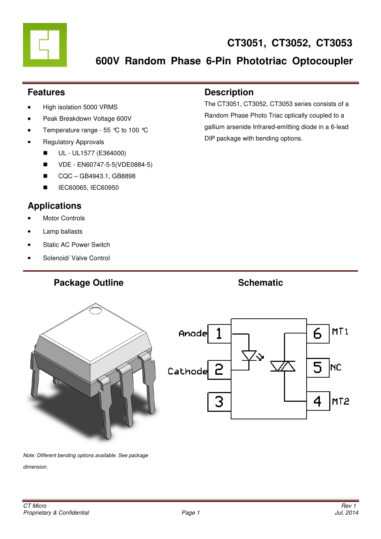### **Features**

- High isolation 5000 VRMS
- Peak Breakdown Voltage 600V
- Temperature range 55 °C to 100 °C
- Regulatory Approvals
	- UL UL1577 (E364000)
	- VDE EN60747-5-5(VDE0884-5)
	- CQC GB4943.1, GB8898
	- **IEC60065, IEC60950**

# **Applications**

- **Motor Controls**
- Lamp ballasts
- **Static AC Power Switch**
- Solenoid/ Valve Control

# **Description**

The CT3051, CT3052, CT3053 series consists of a Random Phase Photo Triac optically coupled to a gallium arsenide Infrared-emitting diode in a 6-lead DIP package with bending options.



Note: Different bending options available. See package

dimension.

**Package Outline Contract Schematic Schematic Schematic Schematic Schematic Schematic Schematic Schematic Schematic Schematic Schematic Schematic Schematic Schematic Schematic Schematic Schematic Schematic Schematic Schema**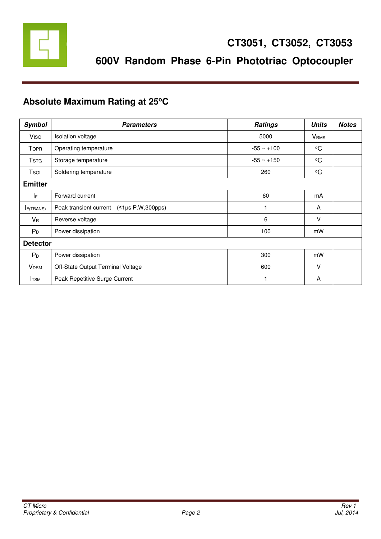

# **Absolute Maximum Rating at 25<sup>o</sup>C**

| <b>Symbol</b>           | <b>Parameters</b>                        | <b>Ratings</b> | <b>Units</b>            | <b>Notes</b> |  |  |
|-------------------------|------------------------------------------|----------------|-------------------------|--------------|--|--|
| <b>V</b> <sub>ISO</sub> | Isolation voltage                        | 5000           | <b>V</b> <sub>RMS</sub> |              |  |  |
| Topr                    | Operating temperature                    | $-55 - +100$   | $\rm ^{o}C$             |              |  |  |
| <b>T</b> stg            | Storage temperature                      | $-55 - +150$   | $\rm ^{o}C$             |              |  |  |
| Tsol                    | Soldering temperature                    | 260            | $\rm ^{o}C$             |              |  |  |
| <b>Emitter</b>          |                                          |                |                         |              |  |  |
| IF.                     | Forward current                          | 60             | mA                      |              |  |  |
| <b>F(TRANS)</b>         | Peak transient current (≤1µs P.W,300pps) |                | A                       |              |  |  |
| $V_{R}$                 | Reverse voltage                          | 6              | V                       |              |  |  |
| $P_D$                   | Power dissipation                        | 100            | mW                      |              |  |  |
| <b>Detector</b>         |                                          |                |                         |              |  |  |
| $P_D$                   | Power dissipation                        | 300            | mW                      |              |  |  |
| <b>VDRM</b>             | Off-State Output Terminal Voltage        | 600            | $\vee$                  |              |  |  |
| <b>I</b> TSM            | Peak Repetitive Surge Current            |                | A                       |              |  |  |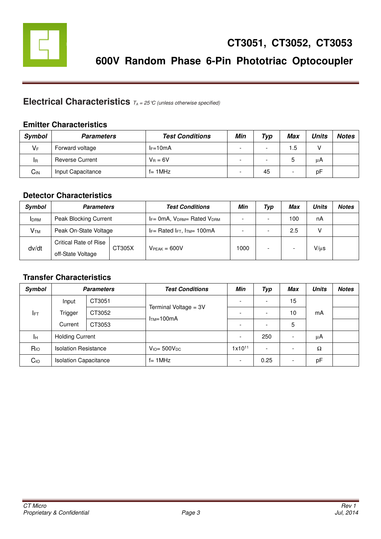

# **Electrical Characteristics**  $T_A = 25 \text{°C}$  (unless otherwise specified)

#### **Emitter Characteristics**

| <b>Symbol</b> | <b>Parameters</b>      | <b>Test Conditions</b> | Min | Typ                      | Max | Units | <b>Notes</b> |
|---------------|------------------------|------------------------|-----|--------------------------|-----|-------|--------------|
| $V_F$         | Forward voltage        | $I_F=10mA$             | -   | $\overline{\phantom{a}}$ | 1.5 | V     |              |
| <b>I</b> R    | <b>Reverse Current</b> | $V_B = 6V$             | -   | $\overline{\phantom{0}}$ | ა   | μA    |              |
| $C_{IN}$      | Input Capacitance      | $f = 1MHz$             |     | 45                       | -   | рF    |              |

#### **Detector Characteristics**

| Symbol          | <b>Parameters</b>     |        | <b>Test Conditions</b>                    | Min  | Typ | Max                      | Units     | <b>Notes</b> |
|-----------------|-----------------------|--------|-------------------------------------------|------|-----|--------------------------|-----------|--------------|
| <b>IDRM</b>     | Peak Blocking Current |        | $I_F = 0mA$ , $V_{DRM} = Rated$ $V_{DRM}$ |      |     | 100                      | nA        |              |
| V <sub>TM</sub> | Peak On-State Voltage |        | $I_F$ Rated $I_{FT}$ , $I_{TM}$ 100mA     |      |     | 2.5                      |           |              |
| dv/dt           | Critical Rate of Rise | CT305X | $VPEAK = 600V$                            | 1000 | -   |                          |           |              |
|                 | off-State Voltage     |        |                                           |      |     | $\overline{\phantom{0}}$ | $V/\mu s$ |              |

#### **Transfer Characteristics**

| <b>Symbol</b>   |                              | <b>Parameters</b> | <b>Test Conditions</b>               | Min                      | Typ                      | <b>Max</b>               | <b>Units</b> | <b>Notes</b> |
|-----------------|------------------------------|-------------------|--------------------------------------|--------------------------|--------------------------|--------------------------|--------------|--------------|
|                 | Input                        | CT3051            | Terminal Voltage = 3V<br>$ITM=100mA$ | $\overline{\phantom{0}}$ | $\overline{\phantom{a}}$ | 15                       |              |              |
| IFT             | Trigger                      | CT3052            |                                      | $\overline{\phantom{a}}$ | $\overline{\phantom{a}}$ | 10                       | mA           |              |
|                 | Current                      | CT3053            |                                      | $\overline{\phantom{a}}$ | $\overline{\phantom{a}}$ | 5                        |              |              |
| Iн              | <b>Holding Current</b>       |                   |                                      | $\overline{\phantom{0}}$ | 250                      | $\overline{\phantom{a}}$ | μA           |              |
| R <sub>IO</sub> | <b>Isolation Resistance</b>  |                   | $V_{\text{IO}} = 500 V_{\text{DC}}$  | $1x10^{11}$              | $\overline{\phantom{a}}$ |                          | Ω            |              |
| Co <sub>o</sub> | <b>Isolation Capacitance</b> |                   | $f = 1$ MHz                          | $\overline{\phantom{0}}$ | 0.25                     | $\overline{\phantom{a}}$ | pF           |              |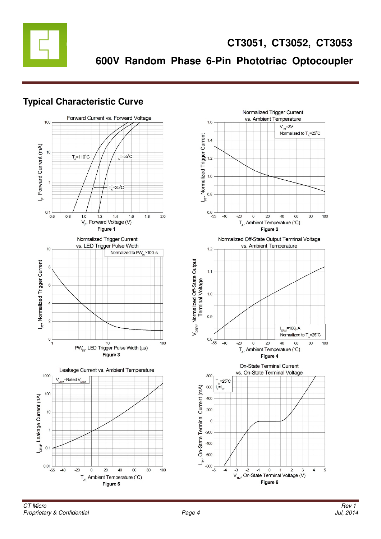

# **Typical Characteristic Curve**



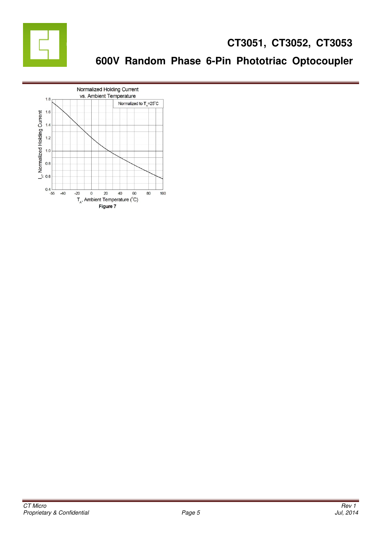

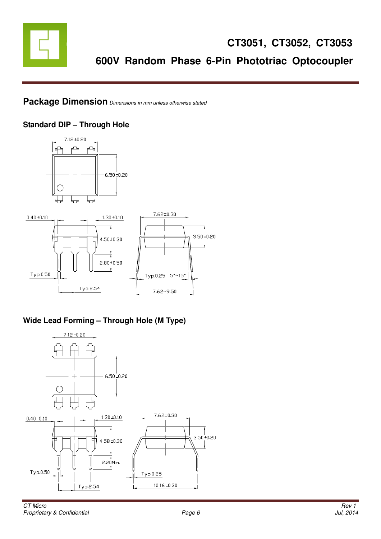

#### **Package Dimension** Dimensions in mm unless otherwise stated

#### **Standard DIP – Through Hole**



#### **Wide Lead Forming – Through Hole (M Type)**

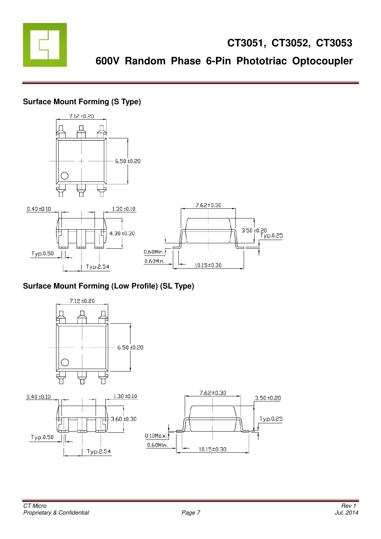

### **Surface Mount Forming (S Type)**



### **Surface Mount Forming (Low Profile) (SL Type)**

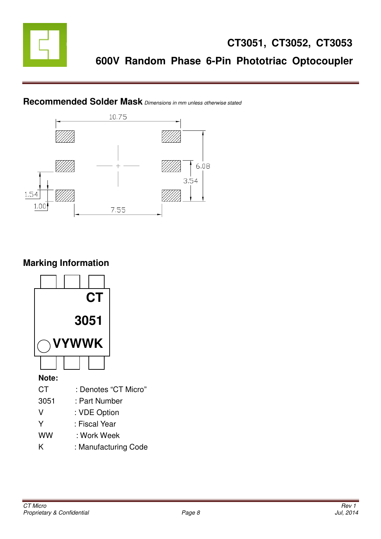



### **Recommended Solder Mask** Dimensions in mm unless otherwise stated

# **Marking Information**

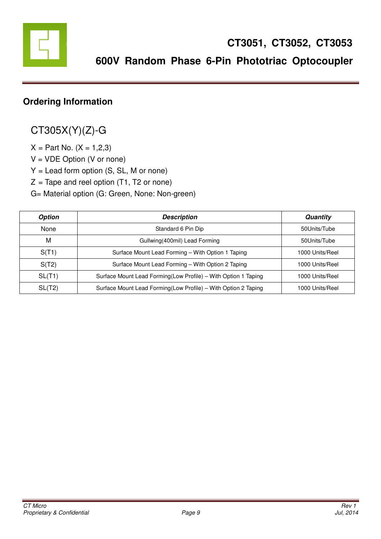

# **Ordering Information**

# CT305X(Y)(Z)-G

 $X = Part No. (X = 1, 2, 3)$ 

 $V = VDE$  Option (V or none)

Y = Lead form option (S, SL, M or none)

 $Z =$  Tape and reel option (T1, T2 or none)

G= Material option (G: Green, None: Non-green)

| <b>Option</b> | <b>Description</b>                                             | Quantity        |
|---------------|----------------------------------------------------------------|-----------------|
| None          | Standard 6 Pin Dip                                             | 50Units/Tube    |
| M             | Gullwing (400mil) Lead Forming                                 | 50Units/Tube    |
| S(T1)         | Surface Mount Lead Forming - With Option 1 Taping              | 1000 Units/Reel |
| S(T2)         | Surface Mount Lead Forming - With Option 2 Taping              | 1000 Units/Reel |
| SL(T1)        | Surface Mount Lead Forming(Low Profile) - With Option 1 Taping | 1000 Units/Reel |
| SL(T2)        | Surface Mount Lead Forming(Low Profile) - With Option 2 Taping | 1000 Units/Reel |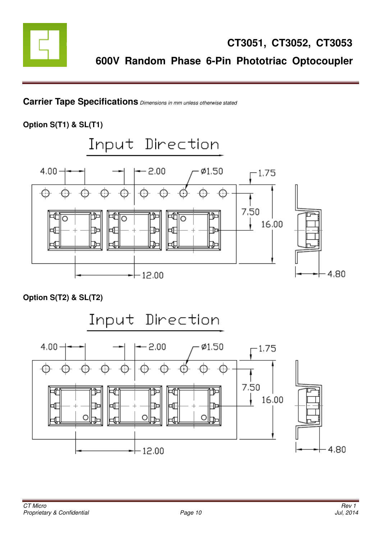

**Carrier Tape Specifications** Dimensions in mm unless otherwise stated

**Option S(T1) & SL(T1)** 



**Option S(T2) & SL(T2)** 

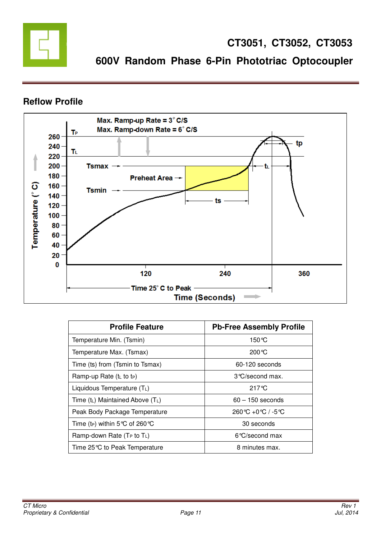

### **Reflow Profile**



| <b>Profile Feature</b>                       | <b>Pb-Free Assembly Profile</b>              |  |  |  |
|----------------------------------------------|----------------------------------------------|--|--|--|
| Temperature Min. (Tsmin)                     | 150 °C                                       |  |  |  |
| Temperature Max. (Tsmax)                     | 200 °C                                       |  |  |  |
| Time (ts) from (Tsmin to Tsmax)              | 60-120 seconds                               |  |  |  |
| Ramp-up Rate $(tL$ to $tP)$                  | 3 °C/second max.                             |  |  |  |
| Liquidous Temperature $(T_L)$                | $217^\circ$ C                                |  |  |  |
| Time $(t_L)$ Maintained Above $(T_L)$        | $60 - 150$ seconds                           |  |  |  |
| Peak Body Package Temperature                | $260^{\circ}C + 0^{\circ}C$ / -5 $^{\circ}C$ |  |  |  |
| Time (t <sub>P</sub> ) within 5 °C of 260 °C | 30 seconds                                   |  |  |  |
| Ramp-down Rate ( $Tr$ to $Tr$ )              | 6 °C/second max                              |  |  |  |
| Time 25 ℃ to Peak Temperature                | 8 minutes max.                               |  |  |  |